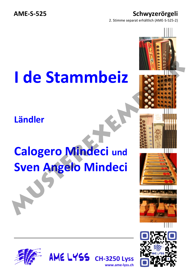## **AME-S-525 Schwyzerörgeli**

2. Stimme separat erhältlich (AME-S-525-2)

 $\vert \vert \vert \vert \vert \vert$ 

## **I de Stammbeiz**

## **Ländler**

## **Calogero Mindeci und Sven Angelo Mindeci Musician Stammber 2 (Alignary Calogero Mindeci und Sven Angelo Mindeci and Sven Angelo Mindeci and Sven Angelo Mindeci and Sven Angelo Mindeci and Sven Angelo Mindeci and Sven Angelo Mindeci and Sven Angelo Mindeci and Sv**



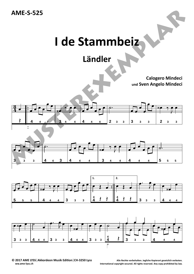



**Ländler**

**Calogero Mindeci und Sven Angelo Mindeci**